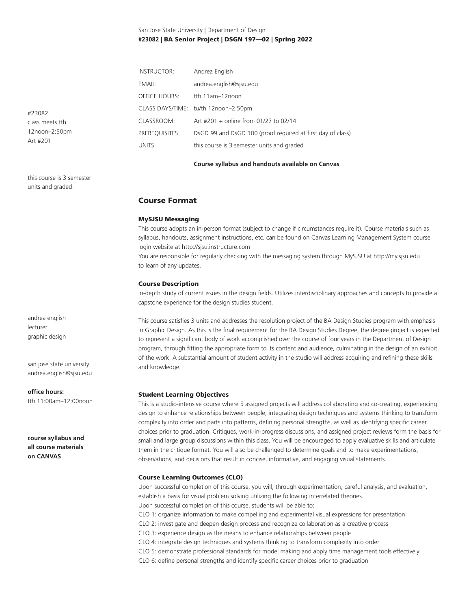## San Jose State University | Department of Design **#23082** | BA Senior Project | DSGN 197—02 | Spring 2022

| <b>INSTRUCTOR:</b>   | Andrea English                                              |  |  |
|----------------------|-------------------------------------------------------------|--|--|
| EMAIL:               | andrea.english@sjsu.edu                                     |  |  |
| <b>OFFICE HOURS:</b> | tth 11am-12noon                                             |  |  |
|                      | CLASS DAYS/TIME: tu/th 12noon-2.50pm                        |  |  |
| CLASSROOM:           | Art #201 + online from 01/27 to 02/14                       |  |  |
| PREREOUISITES:       | DsGD 99 and DsGD 100 (proof required at first day of class) |  |  |
| UNITS:               | this course is 3 semester units and graded                  |  |  |

#### **Course syllabus and handouts available on Canvas**

## Course Format

## MySJSU Messaging

This course adopts an in-person format (subject to change if circumstances require it). Course materials such as syllabus, handouts, assignment instructions, etc. can be found on Canvas Learning Management System course login website at http://sjsu.instructure.com

You are responsible for regularly checking with the messaging system through MySJSU at http://my.sjsu.edu to learn of any updates.

#### Course Description

In-depth study of current issues in the design fields. Utilizes interdisciplinary approaches and concepts to provide a capstone experience for the design studies student.

This course satisfies 3 units and addresses the resolution project of the BA Design Studies program with emphasis in Graphic Design. As this is the final requirement for the BA Design Studies Degree, the degree project is expected to represent a significant body of work accomplished over the course of four years in the Department of Design program, through fitting the appropriate form to its content and audience, culminating in the design of an exhibit of the work. A substantial amount of student activity in the studio will address acquiring and refining these skills and knowledge.

#### Student Learning Objectives

This is a studio-intensive course where 5 assigned projects will address collaborating and co-creating, experiencing design to enhance relationships between people, integrating design techniques and systems thinking to transform complexity into order and parts into patterns, defining personal strengths, as well as identifying specific career choices prior to graduation. Critiques, work-in-progress discussions, and assigned project reviews form the basis for small and large group discussions within this class. You will be encouraged to apply evaluative skills and articulate them in the critique format. You will also be challenged to determine goals and to make experimentations, observations, and decisions that result in concise, informative, and engaging visual statements.

## Course Learning Outcomes (CLO)

Upon successful completion of this course, you will, through experimentation, careful analysis, and evaluation, establish a basis for visual problem solving utilizing the following interrelated theories. Upon successful completion of this course, students will be able to: CLO 1: organize information to make compelling and experimental visual expressions for presentation CLO 2: investigate and deepen design process and recognize collaboration as a creative process CLO 3: experience design as the means to enhance relationships between people CLO 4: integrate design techniques and systems thinking to transform complexity into order CLO 5: demonstrate professional standards for model making and apply time management tools effectively CLO 6: define personal strengths and identify specific career choices prior to graduation

#23082 class meets tth 12noon–2:50pm Art #201

this course is 3 semester units and graded.

andrea english lecturer graphic design

san jose state university andrea.english@sjsu.edu

#### **office hours:**

tth 11:00am–12:00noon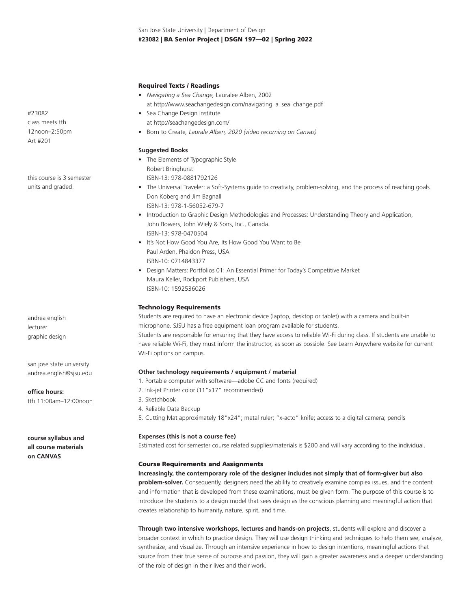## Required Texts / Readings

- *Navigating a Sea Change,* Lauralee Alben, 2002 at http://www.seachangedesign.com/navigating\_a\_sea\_change.pdf
- Sea Change Design Institute at http://seachangedesign.com/
- Born to Create*, Laurale Alben, 2020 (video recorning on Canvas)*

## **Suggested Books**

- The Elements of Typographic Style Robert Bringhurst ISBN-13: 978-0881792126
- The Universal Traveler: a Soft-Systems guide to creativity, problem-solving, and the process of reaching goals Don Koberg and Jim Bagnall ISBN-13: 978-1-56052-679-7
- Introduction to Graphic Design Methodologies and Processes: Understanding Theory and Application, John Bowers, John Wiely & Sons, Inc., Canada. ISBN-13: 978-0470504
- It's Not How Good You Are, Its How Good You Want to Be Paul Arden, Phaidon Press, USA ISBN-10: 0714843377
- Design Matters: Portfolios 01: An Essential Primer for Today's Competitive Market Maura Keller, Rockport Publishers, USA ISBN-10: 1592536026

## Technology Requirements

Students are required to have an electronic device (laptop, desktop or tablet) with a camera and built-in microphone. SJSU has a free equipment loan program available for students. Students are responsible for ensuring that they have access to reliable Wi-Fi during class. If students are unable to have reliable Wi-Fi, they must inform the instructor, as soon as possible. See Learn Anywhere website for current Wi-Fi options on campus.

## **Other technology requirements / equipment / material**

- 1. Portable computer with software—adobe CC and fonts (required)
- 2. Ink-jet Printer color (11"x17" recommended)
- 3. Sketchbook
- 4. Reliable Data Backup
- 5. Cutting Mat approximately 18"x24"; metal ruler; "x-acto" knife; access to a digital camera; pencils

#### **Expenses (this is not a course fee)**

Estimated cost for semester course related supplies/materials is \$200 and will vary according to the individual.

#### Course Requirements and Assignments

**Increasingly, the contemporary role of the designer includes not simply that of form-giver but also problem-solver.** Consequently, designers need the ability to creatively examine complex issues, and the content and information that is developed from these examinations, must be given form. The purpose of this course is to introduce the students to a design model that sees design as the conscious planning and meaningful action that creates relationship to humanity, nature, spirit, and time.

**Through two intensive workshops, lectures and hands-on projects**, students will explore and discover a broader context in which to practice design. They will use design thinking and techniques to help them see, analyze, synthesize, and visualize. Through an intensive experience in how to design intentions, meaningful actions that source from their true sense of purpose and passion, they will gain a greater awareness and a deeper understanding of the role of design in their lives and their work.

#23082 class meets tth 12noon–2:50pm Art #201

this course is 3 semester units and graded.

andrea english lecturer graphic design

san jose state university andrea.english@sjsu.edu

**office hours:**

tth 11:00am–12:00noon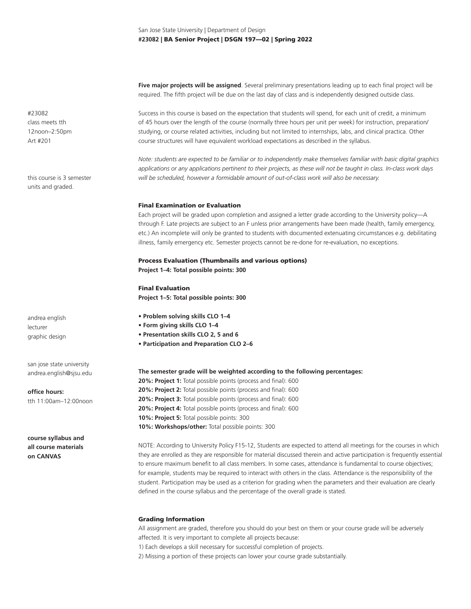**Five major projects will be assigned**. Several preliminary presentations leading up to each final project will be required. The fifth project will be due on the last day of class and is independently designed outside class.

Success in this course is based on the expectation that students will spend, for each unit of credit, a minimum of 45 hours over the length of the course (normally three hours per unit per week) for instruction, preparation/ studying, or course related activities, including but not limited to internships, labs, and clinical practica. Other course structures will have equivalent workload expectations as described in the syllabus.

*Note: students are expected to be familiar or to independently make themselves familiar with basic digital graphics applications or any applications pertinent to their projects, as these will not be taught in class. In-class work days will be scheduled, however a formidable amount of out-of-class work will also be necessary.* 

#### Final Examination or Evaluation

Each project will be graded upon completion and assigned a letter grade according to the University policy—A through F. Late projects are subject to an F unless prior arrangements have been made (health, family emergency, etc.) An incomplete will only be granted to students with documented extenuating circumstances e.g. debilitating illness, family emergency etc. Semester projects cannot be re-done for re-evaluation, no exceptions.

## Process Evaluation (Thumbnails and various options) **Project 1–4: Total possible points: 300**

Final Evaluation **Project 1–5: Total possible points: 300**

- **Problem solving skills CLO 1–4**
- **Form giving skills CLO 1–4**
- **Presentation skills CLO 2, 5 and 6**
- **Participation and Preparation CLO 2–6**

**The semester grade will be weighted according to the following percentages:**

**20%: Project 1:** Total possible points (process and final): 600 **20%: Project 2:** Total possible points (process and final): 600 **20%: Project 3:** Total possible points (process and final): 600 **20%: Project 4:** Total possible points (process and final): 600 **10%: Project 5:** Total possible points: 300 10%: Workshops/other: Total possible points: 300

NOTE: According to University Policy F15-12, Students are expected to attend all meetings for the courses in which they are enrolled as they are responsible for material discussed therein and active participation is frequently essential to ensure maximum benefit to all class members. In some cases, attendance is fundamental to course objectives; for example, students may be required to interact with others in the class. Attendance is the responsibility of the student. Participation may be used as a criterion for grading when the parameters and their evaluation are clearly defined in the course syllabus and the percentage of the overall grade is stated.

## Grading Information

All assignment are graded, therefore you should do your best on them or your course grade will be adversely affected. It is very important to complete all projects because:

1) Each develops a skill necessary for successful completion of projects.

2) Missing a portion of these projects can lower your course grade substantially.

#23082 class meets tth 12noon–2:50pm Art #201

this course is 3 semester units and graded.

andrea english lecturer graphic design

san jose state university andrea.english@sjsu.edu

**office hours:** tth 11:00am–12:00noon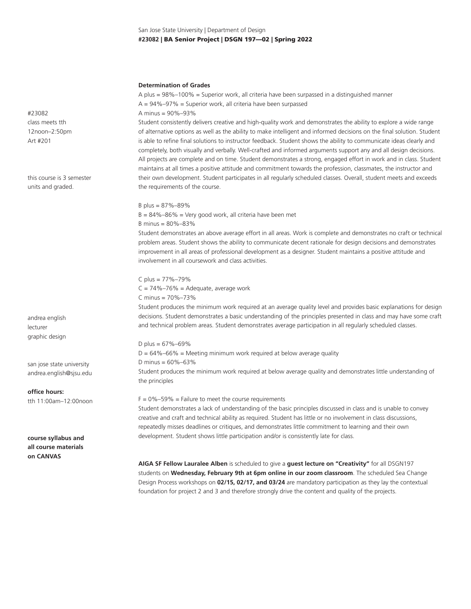## San Jose State University | Department of Design **#23082** | BA Senior Project | DSGN 197—02 | Spring 2022

#### **Determination of Grades**

A plus = 98%–100% = Superior work, all criteria have been surpassed in a distinguished manner  $A = 94\% - 97\% =$  Superior work, all criteria have been surpassed A minus = 90%–93% Student consistently delivers creative and high-quality work and demonstrates the ability to explore a wide range

of alternative options as well as the ability to make intelligent and informed decisions on the final solution. Student is able to refine final solutions to instructor feedback. Student shows the ability to communicate ideas clearly and completely, both visually and verbally. Well-crafted and informed arguments support any and all design decisions. All projects are complete and on time. Student demonstrates a strong, engaged effort in work and in class. Student maintains at all times a positive attitude and commitment towards the profession, classmates, the instructor and their own development. Student participates in all regularly scheduled classes. Overall, student meets and exceeds the requirements of the course.

# B plus = 87%–89%

 $B = 84\% - 86\% =$  Very good work, all criteria have been met B minus = 80%–83%

Student demonstrates an above average effort in all areas. Work is complete and demonstrates no craft or technical problem areas. Student shows the ability to communicate decent rationale for design decisions and demonstrates improvement in all areas of professional development as a designer. Student maintains a positive attitude and involvement in all coursework and class activities.

C plus = 77%–79%  $C = 74\% - 76\% =$  Adequate, average work C minus = 70%–73%

Student produces the minimum work required at an average quality level and provides basic explanations for design decisions. Student demonstrates a basic understanding of the principles presented in class and may have some craft and technical problem areas. Student demonstrates average participation in all regularly scheduled classes.

D plus =  $67\% - 69\%$  $D = 64\% - 66\% =$  Meeting minimum work required at below average quality D minus = 60%–63% Student produces the minimum work required at below average quality and demonstrates little understanding of the principles

 $F = 0\% - 59\% =$  Failure to meet the course requirements

Student demonstrates a lack of understanding of the basic principles discussed in class and is unable to convey creative and craft and technical ability as required. Student has little or no involvement in class discussions, repeatedly misses deadlines or critiques, and demonstrates little commitment to learning and their own development. Student shows little participation and/or is consistently late for class.

**AIGA SF Fellow Lauralee Alben** is scheduled to give a **guest lecture on "Creativity"** for all DSGN197 students on **Wednesday, February 9th at 6pm online in our zoom classroom**. The scheduled Sea Change Design Process workshops on **02/15, 02/17, and 03/24** are mandatory participation as they lay the contextual foundation for project 2 and 3 and therefore strongly drive the content and quality of the projects.

#23082 class meets tth 12noon–2:50pm Art #201

this course is 3 semester units and graded.

andrea english lecturer graphic design

san jose state university andrea.english@sjsu.edu

**office hours:** tth 11:00am–12:00noon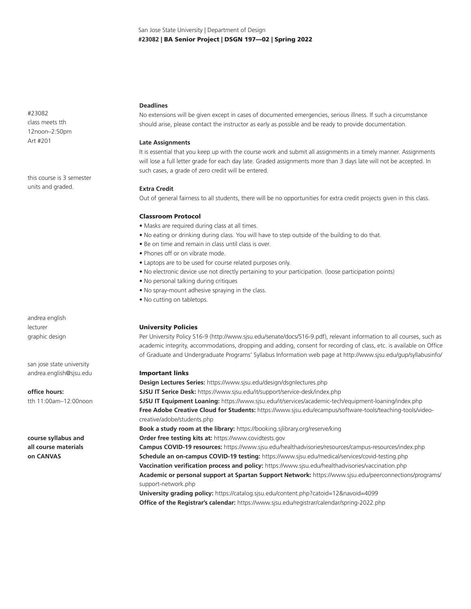#23082 class meets tth 12noon–2:50pm Art #201

this course is 3 semester units and graded.

andrea english lecturer graphic design

san jose state university andrea.english@sjsu.edu

**office hours:** tth 11:00am–12:00noon

**course syllabus and all course materials on CANVAS**

## **Deadlines**

No extensions will be given except in cases of documented emergencies, serious illness. If such a circumstance should arise, please contact the instructor as early as possible and be ready to provide documentation.

## **Late Assignments**

It is essential that you keep up with the course work and submit all assignments in a timely manner. Assignments will lose a full letter grade for each day late. Graded assignments more than 3 days late will not be accepted. In such cases, a grade of zero credit will be entered.

## **Extra Credit**

Out of general fairness to all students, there will be no opportunities for extra credit projects given in this class.

## Classroom Protocol

- Masks are required during class at all times.
- No eating or drinking during class. You will have to step outside of the building to do that.
- Be on time and remain in class until class is over.
- Phones off or on vibrate mode.
- Laptops are to be used for course related purposes only.
- No electronic device use not directly pertaining to your participation. (loose participation points)
- No personal talking during critiques
- No spray-mount adhesive spraying in the class.
- No cutting on tabletops.

## University Policies

Per University Policy S16-9 (http://www.sjsu.edu/senate/docs/S16-9.pdf), relevant information to all courses, such as academic integrity, accommodations, dropping and adding, consent for recording of class, etc. is available on Office of Graduate and Undergraduate Programs' Syllabus Information web page at http://www.sjsu.edu/gup/syllabusinfo/

## Important links

**Design Lectures Series:** https://www.sjsu.edu/design/dsgnlectures.php **SJSU IT Serice Desk:** https://www.sjsu.edu/it/support/service-desk/index.php **SJSU IT Equipment Loaning:** https://www.sjsu.edu/it/services/academic-tech/equipment-loaning/index.php **Free Adobe Creative Cloud for Students:** https://www.sjsu.edu/ecampus/software-tools/teaching-tools/videocreative/adobe/students.php **Book a study room at the library:** https://booking.sjlibrary.org/reserve/king **Order free testing kits at:** https://www.covidtests.gov **Campus COVID-19 resources:** https://www.sjsu.edu/healthadvisories/resources/campus-resources/index.php **Schedule an on-campus COVID-19 testing:** https://www.sjsu.edu/medical/services/covid-testing.php **Vaccination verification process and policy:** https://www.sjsu.edu/healthadvisories/vaccination.php **Academic or personal support at Spartan Support Network:** https://www.sjsu.edu/peerconnections/programs/ support-network.php

**University grading policy:** https://catalog.sjsu.edu/content.php?catoid=12&navoid=4099 **Office of the Registrar's calendar:** https://www.sjsu.edu/registrar/calendar/spring-2022.php